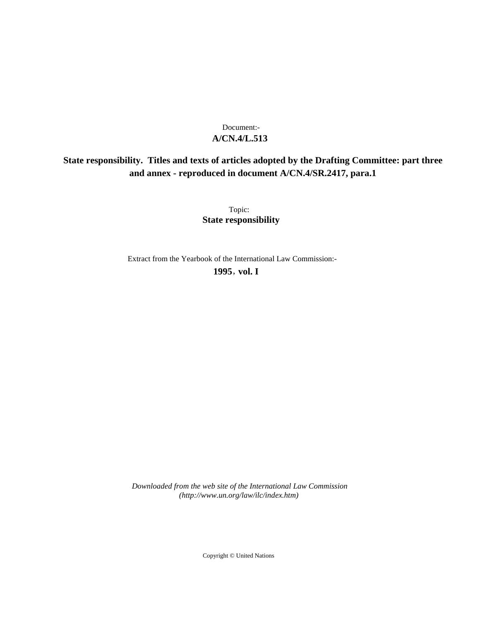## **A/CN.4/L.513** Document:-

# **State responsibility. Titles and texts of articles adopted by the Drafting Committee: part three and annex - reproduced in document A/CN.4/SR.2417, para.1**

Topic: **State responsibility**

Extract from the Yearbook of the International Law Commission:-

**1995** , **vol. I**

*Downloaded from the web site of the International Law Commission (http://www.un.org/law/ilc/index.htm)*

Copyright © United Nations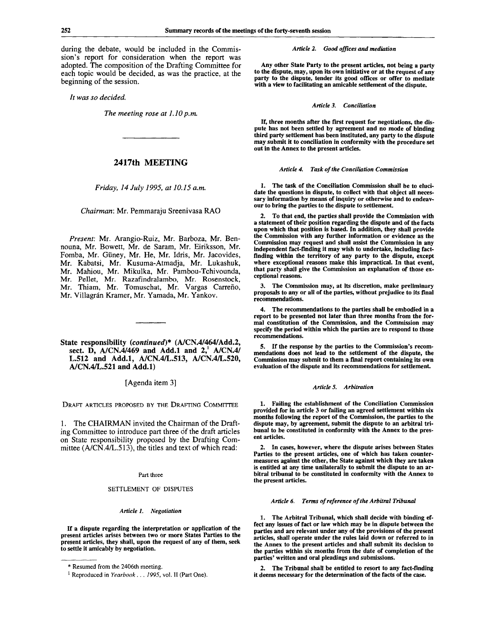during the debate, would be included in the Commission's report for consideration when the report was adopted. The composition of the Drafting Committee for each topic would be decided, as was the practice, at the beginning of the session.

*It was so decided.*

*The meeting rose at 1.10 p.m.*

## **2417th MEETING**

*Friday, 14 July 1995, at 10.15 a.m.*

*Chairman:* Mr. Pemmaraju Sreenivasa RAO

*Present:* Mr. Arangio-Ruiz, Mr. Barboza, Mr. Bennouna, Mr. Bowett, Mr. de Saram, Mr. Eiriksson, Mr. Fomba, Mr. Giiney, Mr. He, Mr. Idris, Mr. Jacovides, Mr. Kabatsi, Mr. Kusuma-Atmadja, Mr. Lukashuk, Mr. Mahiou, Mr. Mikulka, Mr. Pambou-Tchivounda, Mr. Pellet, Mr. Razafindralambo, Mr. Rosenstock, Mr. Thiam, Mr. Tomuschat, Mr. Vargas Carreño, Mr. Villagrán Kramer, Mr. Yamada, Mr. Yankov.

**State responsibility** *(continued)\** **(A/CN.4/464/Add.2, sect. D, A/CN.4/469 and Add.l and 2,<sup>1</sup> A/CN.4/ L.512 and Add.l, A/CN.4/L.513, A/CN.4/L.520, A/CN.4/L.521 and Add.l)**

[Agenda item 3]

DRAFT ARTICLES PROPOSED BY THE DRAFTING COMMITTEE

1. The CHAIRMAN invited the Chairman of the Drafting Committee to introduce part three of the draft articles on State responsibility proposed by the Drafting Committee (A/CN.4/L.513), the titles and text of which read:

#### Part three

#### SETTLEMENT OF DISPUTES

*Article 1. Negotiation*

If a dispute regarding the interpretation or application of the present articles arises between two or more States Parties to the present articles, they shall, upon the request of any of them, seek to settle it amicably by negotiation.

*Article 2. Good offices and mediation*

Any other State Party to the present articles, not being a party to the dispute, may, upon its own initiative or at the request of any party to the dispute, tender its good offices or offer to mediate with a view to facilitating an amicable settlement of the dispute.

#### *Article 3. Conciliation*

If, three months after the first request for negotiations, the dispute has not been settled by agreement and no mode of binding third party settlement has been instituted, any party to the dispute may submit it to conciliation in conformity with the procedure set out in the Annex to the present articles.

#### *Article 4. Task of the Conciliation Commission*

1. The task of the Conciliation Commission shall be to elucidate the questions in dispute, to collect with that object all necessary information by means of inquiry or otherwise and to endeavour to bring the parties to the dispute to settlement.

2. To that end, the parties shall provide the Commission with a statement of their position regarding the dispute and of the facts upon which that position is based. In addition, they shall provide the Commission with any further information or evidence as the Commission may request and shall assist the Commission in any independent fact-finding it may wish to undertake, including factfinding within the territory of any party to the dispute, except where exceptional reasons make this impractical. In that event, that party shall give the Commission an explanation of those exceptional reasons.

3. The Commission may, at its discretion, make preliminary proposals to any or all of the parties, without prejudice to its final recommendations.

4. The recommendations to the parties shall be embodied in a report to be presented not later than three months from the formal constitution of the Commission, and the Commission may specify the period within which the parties are to respond to those recommendations.

5. If the response by the parties to the Commission's recommendations does not lead to the settlement of the dispute, the Commission may submit to them a final report containing its own evaluation of the dispute and its recommendations for settlement.

#### *Article 5. Arbitration*

1. Failing the establishment of the Conciliation Commission provided for in article 3 or failing an agreed settlement within six months following the report of the Commission, the parties to the dispute may, by agreement, submit the dispute to an arbitral tribunal to be constituted in conformity with the Annex *to* the present articles.

2. In cases, however, where the dispute arises between States Parties to the present articles, one of which has taken countermeasures against the other, the State against which they are taken is entitled at any time unilaterally to submit the dispute to an arbitral tribunal to be constituted in conformity with the Annex to the present articles.

#### *Article 6. Terms of reference of the Arbitral Tribunal*

1. The Arbitral Tribunal, which shall decide with binding effect any issues of fact or law which may be in dispute between the parties and are relevant under any of the provisions of the present articles, shall operate under the rules laid down or referred to in the Annex to the present articles and shall submit its decision to the parties within six months from the date of completion of the parties' written and oral pleadings and submissions.

2. The Tribunal shall be entitled to resort to any fact-finding it deems necessary for the determination of the facts of the case.

<sup>\*</sup> Resumed from the 2406th meeting.

<sup>1</sup> Reproduced in *Yearbook . . . 1995,* vol. II (Part One).